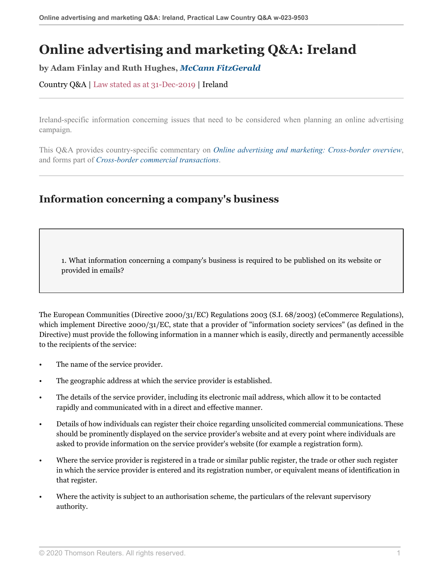# **Online advertising and marketing Q&A: Ireland**

**by Adam Finlay and Ruth Hughes,** *[McCann FitzGerald](https://uk.practicallaw.thomsonreuters.com/Browse/Home/About/Contributor/McCannFitzGerald )*

Country Q&A | Law stated as at 31-Dec-2019 | Ireland

Ireland-specific information concerning issues that need to be considered when planning an online advertising campaign.

This Q&A provides country-specific commentary on *[Online advertising and marketing: Cross-border overview](http://uk.practicallaw.thomsonreuters.com/5-107-4436?originationContext=document&vr=3.0&rs=PLUK1.0&transitionType=DocumentItem&contextData=(sc.Default))*, and forms part of *[Cross-border commercial transactions](https://uk.practicallaw.thomsonreuters.com/Browse/Home/International/Crossbordercommercialtransactions?contextData=(sc.Default)&transitionType=Default&comp=pluk&navId=47E1BB8ED9E58AC8EE88E57083BB6621&originationContext=Favorites )*.

### **Information concerning a company's business**

1. What information concerning a company's business is required to be published on its website or provided in emails?

The European Communities (Directive 2000/31/EC) Regulations 2003 (S.I. 68/2003) (eCommerce Regulations), which implement Directive 2000/31/EC, state that a provider of "information society services" (as defined in the Directive) must provide the following information in a manner which is easily, directly and permanently accessible to the recipients of the service:

- The name of the service provider.
- The geographic address at which the service provider is established.
- The details of the service provider, including its electronic mail address, which allow it to be contacted rapidly and communicated with in a direct and effective manner.
- Details of how individuals can register their choice regarding unsolicited commercial communications. These should be prominently displayed on the service provider's website and at every point where individuals are asked to provide information on the service provider's website (for example a registration form).
- Where the service provider is registered in a trade or similar public register, the trade or other such register in which the service provider is entered and its registration number, or equivalent means of identification in that register.
- Where the activity is subject to an authorisation scheme, the particulars of the relevant supervisory authority.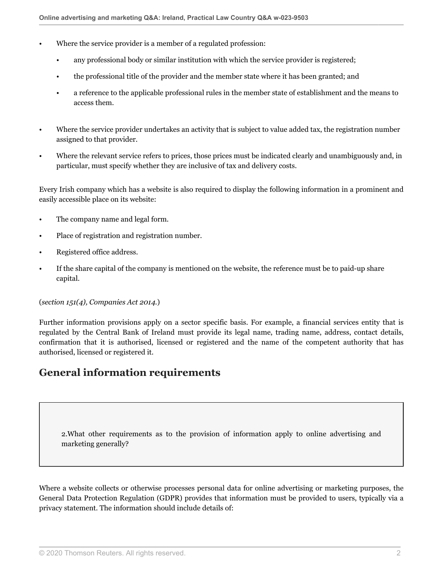- Where the service provider is a member of a regulated profession:
	- any professional body or similar institution with which the service provider is registered;
	- the professional title of the provider and the member state where it has been granted; and
	- a reference to the applicable professional rules in the member state of establishment and the means to access them.
- Where the service provider undertakes an activity that is subject to value added tax, the registration number assigned to that provider.
- Where the relevant service refers to prices, those prices must be indicated clearly and unambiguously and, in particular, must specify whether they are inclusive of tax and delivery costs.

Every Irish company which has a website is also required to display the following information in a prominent and easily accessible place on its website:

- The company name and legal form.
- Place of registration and registration number.
- Registered office address.
- If the share capital of the company is mentioned on the website, the reference must be to paid-up share capital.

#### (*section 151(4), Companies Act 2014.*)

Further information provisions apply on a sector specific basis. For example, a financial services entity that is regulated by the Central Bank of Ireland must provide its legal name, trading name, address, contact details, confirmation that it is authorised, licensed or registered and the name of the competent authority that has authorised, licensed or registered it.

### **General information requirements**

2.What other requirements as to the provision of information apply to online advertising and marketing generally?

Where a website collects or otherwise processes personal data for online advertising or marketing purposes, the General Data Protection Regulation (GDPR) provides that information must be provided to users, typically via a privacy statement. The information should include details of: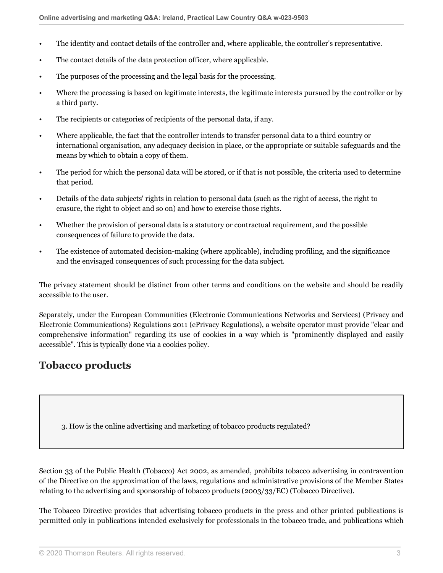- The identity and contact details of the controller and, where applicable, the controller's representative.
- The contact details of the data protection officer, where applicable.
- The purposes of the processing and the legal basis for the processing.
- Where the processing is based on legitimate interests, the legitimate interests pursued by the controller or by a third party.
- The recipients or categories of recipients of the personal data, if any.
- Where applicable, the fact that the controller intends to transfer personal data to a third country or international organisation, any adequacy decision in place, or the appropriate or suitable safeguards and the means by which to obtain a copy of them.
- The period for which the personal data will be stored, or if that is not possible, the criteria used to determine that period.
- Details of the data subjects' rights in relation to personal data (such as the right of access, the right to erasure, the right to object and so on) and how to exercise those rights.
- Whether the provision of personal data is a statutory or contractual requirement, and the possible consequences of failure to provide the data.
- The existence of automated decision-making (where applicable), including profiling, and the significance and the envisaged consequences of such processing for the data subject.

The privacy statement should be distinct from other terms and conditions on the website and should be readily accessible to the user.

Separately, under the European Communities (Electronic Communications Networks and Services) (Privacy and Electronic Communications) Regulations 2011 (ePrivacy Regulations), a website operator must provide "clear and comprehensive information" regarding its use of cookies in a way which is "prominently displayed and easily accessible". This is typically done via a cookies policy.

### **Tobacco products**

3. How is the online advertising and marketing of tobacco products regulated?

Section 33 of the Public Health (Tobacco) Act 2002, as amended, prohibits tobacco advertising in contravention of the Directive on the approximation of the laws, regulations and administrative provisions of the Member States relating to the advertising and sponsorship of tobacco products (2003/33/EC) (Tobacco Directive).

The Tobacco Directive provides that advertising tobacco products in the press and other printed publications is permitted only in publications intended exclusively for professionals in the tobacco trade, and publications which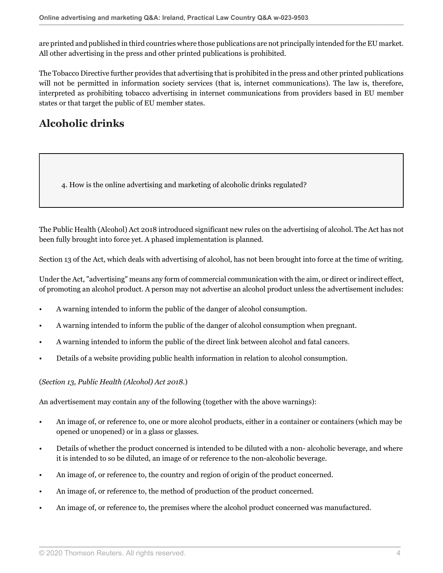are printed and published in third countries where those publications are not principally intended for the EU market. All other advertising in the press and other printed publications is prohibited.

The Tobacco Directive further provides that advertising that is prohibited in the press and other printed publications will not be permitted in information society services (that is, internet communications). The law is, therefore, interpreted as prohibiting tobacco advertising in internet communications from providers based in EU member states or that target the public of EU member states.

# **Alcoholic drinks**

4. How is the online advertising and marketing of alcoholic drinks regulated?

The Public Health (Alcohol) Act 2018 introduced significant new rules on the advertising of alcohol. The Act has not been fully brought into force yet. A phased implementation is planned.

Section 13 of the Act, which deals with advertising of alcohol, has not been brought into force at the time of writing.

Under the Act, "advertising" means any form of commercial communication with the aim, or direct or indirect effect, of promoting an alcohol product. A person may not advertise an alcohol product unless the advertisement includes:

- A warning intended to inform the public of the danger of alcohol consumption.
- A warning intended to inform the public of the danger of alcohol consumption when pregnant.
- A warning intended to inform the public of the direct link between alcohol and fatal cancers.
- Details of a website providing public health information in relation to alcohol consumption.

#### (*Section 13, Public Health (Alcohol) Act 2018.*)

An advertisement may contain any of the following (together with the above warnings):

- An image of, or reference to, one or more alcohol products, either in a container or containers (which may be opened or unopened) or in a glass or glasses.
- Details of whether the product concerned is intended to be diluted with a non- alcoholic beverage, and where it is intended to so be diluted, an image of or reference to the non-alcoholic beverage.
- An image of, or reference to, the country and region of origin of the product concerned.
- An image of, or reference to, the method of production of the product concerned.
- An image of, or reference to, the premises where the alcohol product concerned was manufactured.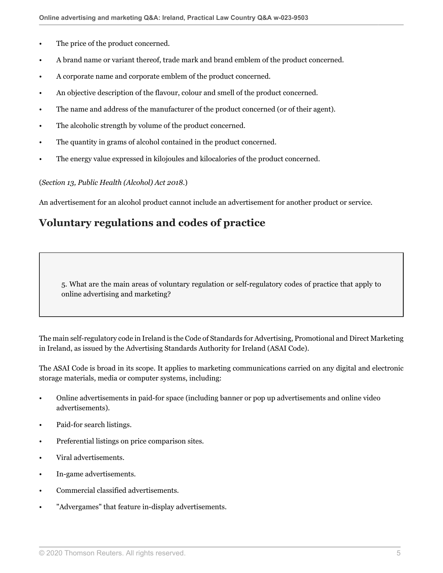- The price of the product concerned.
- A brand name or variant thereof, trade mark and brand emblem of the product concerned.
- A corporate name and corporate emblem of the product concerned.
- An objective description of the flavour, colour and smell of the product concerned.
- The name and address of the manufacturer of the product concerned (or of their agent).
- The alcoholic strength by volume of the product concerned.
- The quantity in grams of alcohol contained in the product concerned.
- The energy value expressed in kilojoules and kilocalories of the product concerned.

#### (*Section 13, Public Health (Alcohol) Act 2018.*)

An advertisement for an alcohol product cannot include an advertisement for another product or service.

### **Voluntary regulations and codes of practice**

5. What are the main areas of voluntary regulation or self-regulatory codes of practice that apply to online advertising and marketing?

The main self-regulatory code in Ireland is the Code of Standards for Advertising, Promotional and Direct Marketing in Ireland, as issued by the Advertising Standards Authority for Ireland (ASAI Code).

The ASAI Code is broad in its scope. It applies to marketing communications carried on any digital and electronic storage materials, media or computer systems, including:

- Online advertisements in paid-for space (including banner or pop up advertisements and online video advertisements).
- Paid-for search listings.
- Preferential listings on price comparison sites.
- Viral advertisements.
- In-game advertisements.
- Commercial classified advertisements.
- "Advergames" that feature in-display advertisements.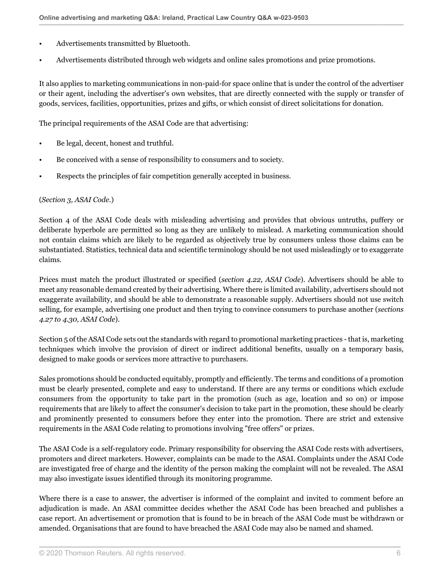- Advertisements transmitted by Bluetooth.
- Advertisements distributed through web widgets and online sales promotions and prize promotions.

It also applies to marketing communications in non-paid-for space online that is under the control of the advertiser or their agent, including the advertiser's own websites, that are directly connected with the supply or transfer of goods, services, facilities, opportunities, prizes and gifts, or which consist of direct solicitations for donation.

The principal requirements of the ASAI Code are that advertising:

- Be legal, decent, honest and truthful.
- Be conceived with a sense of responsibility to consumers and to society.
- Respects the principles of fair competition generally accepted in business.

#### (*Section 3, ASAI Code.*)

Section 4 of the ASAI Code deals with misleading advertising and provides that obvious untruths, puffery or deliberate hyperbole are permitted so long as they are unlikely to mislead. A marketing communication should not contain claims which are likely to be regarded as objectively true by consumers unless those claims can be substantiated. Statistics, technical data and scientific terminology should be not used misleadingly or to exaggerate claims.

Prices must match the product illustrated or specified (*section 4.22, ASAI Code*). Advertisers should be able to meet any reasonable demand created by their advertising. Where there is limited availability, advertisers should not exaggerate availability, and should be able to demonstrate a reasonable supply. Advertisers should not use switch selling, for example, advertising one product and then trying to convince consumers to purchase another (*sections 4.27 to 4.30, ASAI Code*).

Section 5 of the ASAI Code sets out the standards with regard to promotional marketing practices - that is, marketing techniques which involve the provision of direct or indirect additional benefits, usually on a temporary basis, designed to make goods or services more attractive to purchasers.

Sales promotions should be conducted equitably, promptly and efficiently. The terms and conditions of a promotion must be clearly presented, complete and easy to understand. If there are any terms or conditions which exclude consumers from the opportunity to take part in the promotion (such as age, location and so on) or impose requirements that are likely to affect the consumer's decision to take part in the promotion, these should be clearly and prominently presented to consumers before they enter into the promotion. There are strict and extensive requirements in the ASAI Code relating to promotions involving "free offers" or prizes.

The ASAI Code is a self-regulatory code. Primary responsibility for observing the ASAI Code rests with advertisers, promoters and direct marketers. However, complaints can be made to the ASAI. Complaints under the ASAI Code are investigated free of charge and the identity of the person making the complaint will not be revealed. The ASAI may also investigate issues identified through its monitoring programme.

Where there is a case to answer, the advertiser is informed of the complaint and invited to comment before an adjudication is made. An ASAI committee decides whether the ASAI Code has been breached and publishes a case report. An advertisement or promotion that is found to be in breach of the ASAI Code must be withdrawn or amended. Organisations that are found to have breached the ASAI Code may also be named and shamed.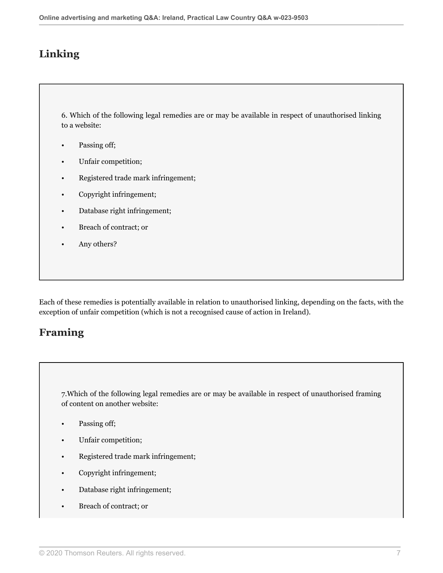## **Linking**

6. Which of the following legal remedies are or may be available in respect of unauthorised linking to a website:

- Passing off;
- Unfair competition;
- Registered trade mark infringement;
- Copyright infringement;
- Database right infringement;
- Breach of contract; or
- Any others?

Each of these remedies is potentially available in relation to unauthorised linking, depending on the facts, with the exception of unfair competition (which is not a recognised cause of action in Ireland).

### **Framing**

7.Which of the following legal remedies are or may be available in respect of unauthorised framing of content on another website:

- Passing off;
- Unfair competition;
- Registered trade mark infringement;
- Copyright infringement;
- Database right infringement;
- Breach of contract; or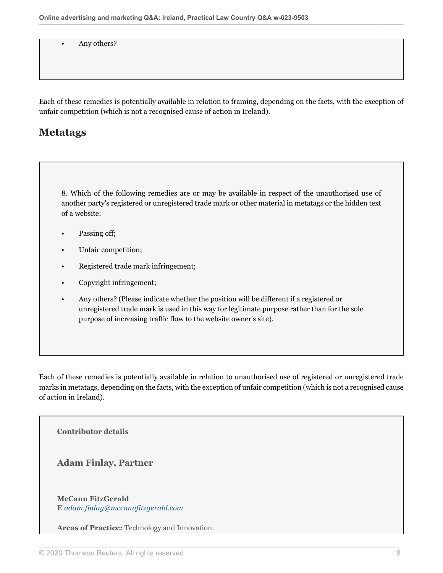Any others?

Each of these remedies is potentially available in relation to framing, depending on the facts, with the exception of unfair competition (which is not a recognised cause of action in Ireland).

### **Metatags**

8. Which of the following remedies are or may be available in respect of the unauthorised use of another party's registered or unregistered trade mark or other material in metatags or the hidden text of a website:

- Passing off;
- Unfair competition;
- Registered trade mark infringement;
- Copyright infringement;
- Any others? (Please indicate whether the position will be different if a registered or unregistered trade mark is used in this way for legitimate purpose rather than for the sole purpose of increasing traffic flow to the website owner's site).

Each of these remedies is potentially available in relation to unauthorised use of registered or unregistered trade marks in metatags, depending on the facts, with the exception of unfair competition (which is not a recognised cause of action in Ireland).

**Contributor details**

**Adam Finlay, Partner**

**McCann FitzGerald E** *[adam.finlay@mccannfitzgerald.com](mailto:adam.finlay@mccannfitzgerald.com)*

**Areas of Practice:** Technology and Innovation.